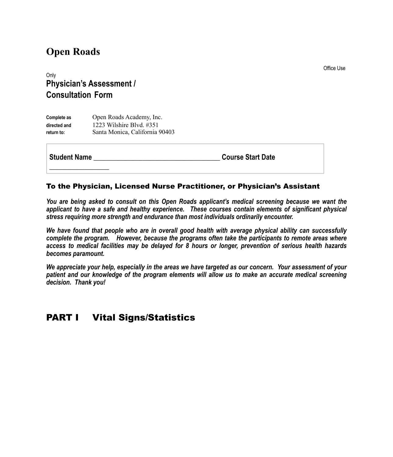# **Open Roads**

Only **Physician's Assessment / Consultation Form**

| Complete as  | Open Roads Academy, Inc.       |
|--------------|--------------------------------|
| directed and | 1223 Wilshire Blvd. #351       |
| return to:   | Santa Monica, California 90403 |

**\_\_\_\_\_\_\_\_\_\_\_\_\_\_\_\_\_**

**Student Name \_\_\_\_\_\_\_\_\_\_\_\_\_\_\_\_\_\_\_\_\_\_\_\_\_\_\_\_\_\_\_\_\_\_\_\_ Course Start Date** 

#### To the Physician, Licensed Nurse Practitioner, or Physician's Assistant

*You are being asked to consult on this Open Roads applicant's medical screening because we want the applicant to have a safe and healthy experience. These courses contain elements of significant physical stress requiring more strength and endurance than most individuals ordinarily encounter.*

*We have found that people who are in overall good health with average physical ability can successfully complete the program. However, because the programs often take the participants to remote areas where access to medical facilities may be delayed for 8 hours or longer, prevention of serious health hazards becomes paramount.* 

*We appreciate your help, especially in the areas we have targeted as our concern. Your assessment of your patient and our knowledge of the program elements will allow us to make an accurate medical screening decision. Thank you!* 

#### **PART I** Vital Signs/Statistics

Office Use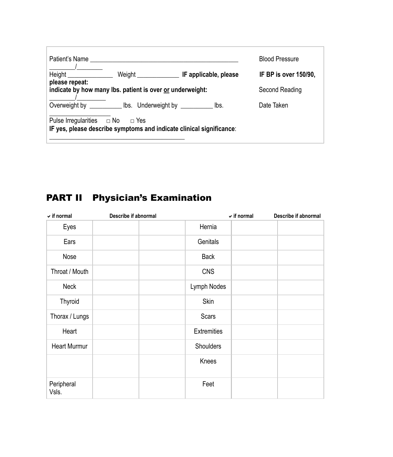| Patient's Name                                                                                                    |  | <b>Blood Pressure</b> |  |
|-------------------------------------------------------------------------------------------------------------------|--|-----------------------|--|
|                                                                                                                   |  | IF BP is over 150/90, |  |
| please repeat:<br>indicate by how many lbs. patient is over or underweight:                                       |  | Second Reading        |  |
| Overweight by _______________ lbs. Underweight by ______________ lbs.                                             |  | Date Taken            |  |
| Pulse Irregularities $\Box$ No $\Box$ Yes<br>IF yes, please describe symptoms and indicate clinical significance: |  |                       |  |

# PART II Physician's Examination

| $\checkmark$ if normal | Describe if abnormal |                    | $\checkmark$ if normal | Describe if abnormal |
|------------------------|----------------------|--------------------|------------------------|----------------------|
| Eyes                   |                      | Hernia             |                        |                      |
| Ears                   |                      | Genitals           |                        |                      |
| Nose                   |                      | <b>Back</b>        |                        |                      |
| Throat / Mouth         |                      | <b>CNS</b>         |                        |                      |
| <b>Neck</b>            |                      | Lymph Nodes        |                        |                      |
| Thyroid                |                      | Skin               |                        |                      |
| Thorax / Lungs         |                      | Scars              |                        |                      |
| Heart                  |                      | <b>Extremities</b> |                        |                      |
| <b>Heart Murmur</b>    |                      | Shoulders          |                        |                      |
|                        |                      | Knees              |                        |                      |
| Peripheral<br>Vsls.    |                      | Feet               |                        |                      |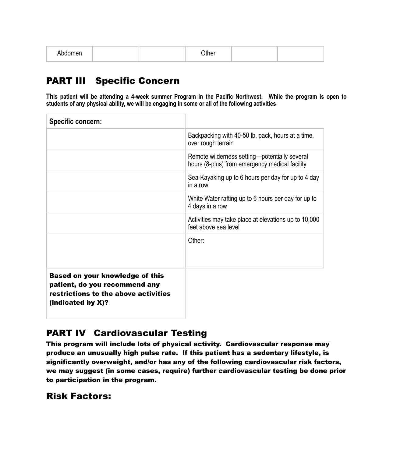| apaomen | วthe∟ |  |  |
|---------|-------|--|--|
|---------|-------|--|--|

# PART III Specific Concern

**This patient will be attending a 4-week summer Program in the Pacific Northwest. While the program is open to students of any physical ability, we will be engaging in some or all of the following activities** 

| Specific concern:                                                                                                                |                                                                                                 |
|----------------------------------------------------------------------------------------------------------------------------------|-------------------------------------------------------------------------------------------------|
|                                                                                                                                  | Backpacking with 40-50 lb. pack, hours at a time,<br>over rough terrain                         |
|                                                                                                                                  | Remote wilderness setting—potentially several<br>hours (8-plus) from emergency medical facility |
|                                                                                                                                  | Sea-Kayaking up to 6 hours per day for up to 4 day<br>in a row                                  |
|                                                                                                                                  | White Water rafting up to 6 hours per day for up to<br>4 days in a row                          |
|                                                                                                                                  | Activities may take place at elevations up to 10,000<br>feet above sea level                    |
|                                                                                                                                  | Other:                                                                                          |
| Based on your knowledge of this<br>patient, do you recommend any<br>restrictions to the above activities<br>(indicated by $X$ )? |                                                                                                 |

### PART IV Cardiovascular Testing

This program will include lots of physical activity. Cardiovascular response may produce an unusually high pulse rate. If this patient has a sedentary lifestyle, is significantly overweight, and/or has any of the following cardiovascular risk factors, we may suggest (in some cases, require) further cardiovascular testing be done prior to participation in the program.

#### Risk Factors: